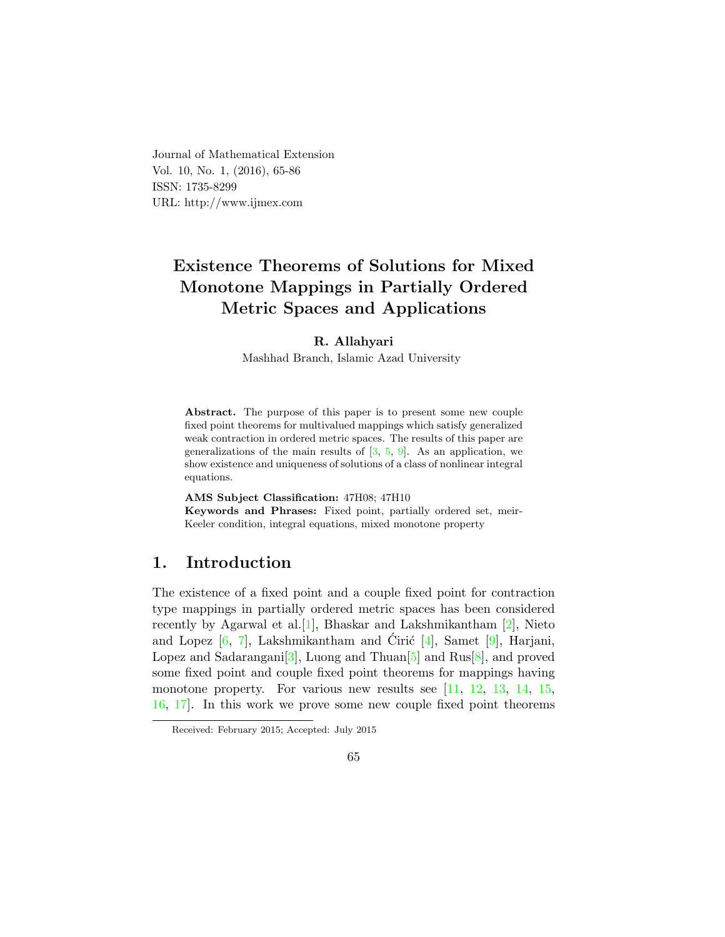<span id="page-0-0"></span>Journal of Mathematical Extension Vol. 10, No. 1, (2016), 65-86 ISSN: 1735-8299 URL: http://www.ijmex.com

# Existence Theorems of Solutions for Mixed Monotone Mappings in Partially Ordered Metric Spaces and Applications

#### R. Allahyari

Mashhad Branch, Islamic Azad University

Abstract. The purpose of this paper is to present some new couple fixed point theorems for multivalued mappings which satisfy generalized weak contraction in ordered metric spaces. The results of this paper are generalizations of the main results of  $[3, 5, 9]$  $[3, 5, 9]$  $[3, 5, 9]$  $[3, 5, 9]$  $[3, 5, 9]$ . As an application, we show existence and uniqueness of solutions of a class of nonlinear integral equations.

AMS Subject Classification: 47H08; 47H10

Keywords and Phrases: Fixed point, partially ordered set, meir-Keeler condition, integral equations, mixed monotone property

### 1. Introduction

The existence of a fixed point and a couple fixed point for contraction type mappings in partially ordered metric spaces has been considered recently by Agarwal et al.[\[1\]](#page-20-3), Bhaskar and Lakshmikantham [\[2\]](#page-20-4), Nieto and Lopez  $[6, 7]$  $[6, 7]$  $[6, 7]$ , Lakshmikantham and Ciric  $[4]$  $[4]$ , Samet  $[9]$ , Harjani, Lopez and Sadarangani<sup>[\[3\]](#page-20-0)</sup>, Luong and Thuan<sup>[\[5\]](#page-20-1)</sup> and Rus<sup>[\[8\]](#page-20-8)</sup>, and proved some fixed point and couple fixed point theorems for mappings having monotone property. For various new results see [\[11,](#page-21-0) [12,](#page-21-1) [13,](#page-21-2) [14,](#page-21-3) [15,](#page-21-4) [16,](#page-21-5) [17\]](#page-21-6). In this work we prove some new couple fixed point theorems

Received: February 2015; Accepted: July 2015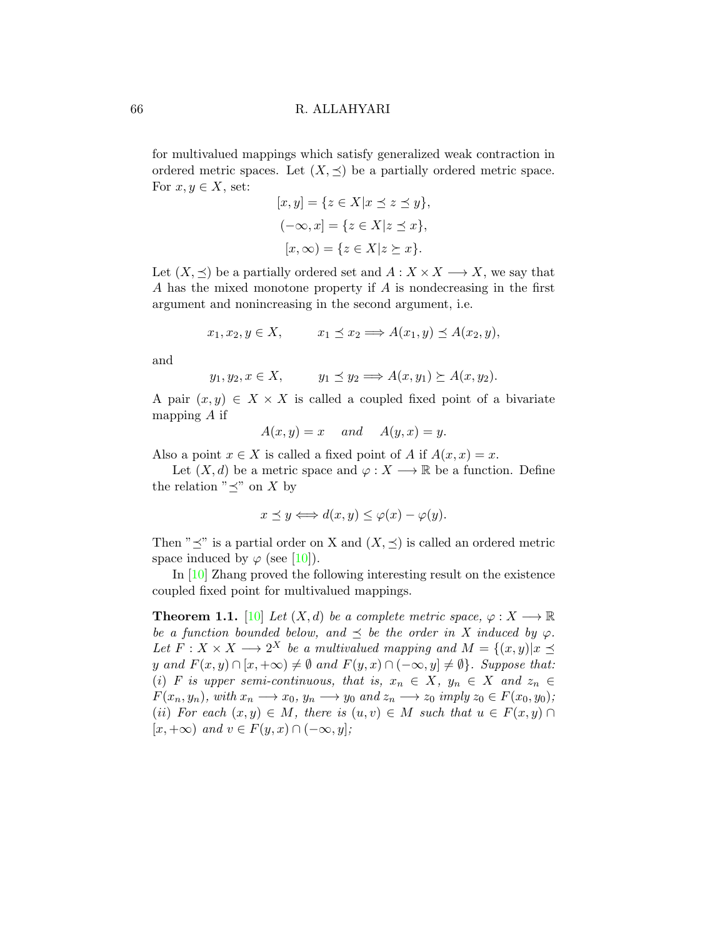for multivalued mappings which satisfy generalized weak contraction in ordered metric spaces. Let  $(X, \preceq)$  be a partially ordered metric space. For  $x, y \in X$ , set:

$$
[x, y] = \{ z \in X | x \preceq z \preceq y \},
$$

$$
(-\infty, x] = \{ z \in X | z \preceq x \},
$$

$$
[x, \infty) = \{ z \in X | z \succeq x \}.
$$

Let  $(X, \preceq)$  be a partially ordered set and  $A : X \times X \longrightarrow X$ , we say that A has the mixed monotone property if A is nondecreasing in the first argument and nonincreasing in the second argument, i.e.

$$
x_1, x_2, y \in X, \qquad x_1 \preceq x_2 \Longrightarrow A(x_1, y) \preceq A(x_2, y),
$$

and

$$
y_1, y_2, x \in X
$$
,  $y_1 \preceq y_2 \Longrightarrow A(x, y_1) \succeq A(x, y_2)$ .

A pair  $(x, y) \in X \times X$  is called a coupled fixed point of a bivariate mapping A if

$$
A(x, y) = x \quad and \quad A(y, x) = y.
$$

Also a point  $x \in X$  is called a fixed point of A if  $A(x, x) = x$ .

Let  $(X, d)$  be a metric space and  $\varphi : X \longrightarrow \mathbb{R}$  be a function. Define the relation " $\preceq$ " on X by

$$
x \preceq y \Longleftrightarrow d(x, y) \le \varphi(x) - \varphi(y).
$$

Then " $\preceq$ " is a partial order on X and  $(X, \preceq)$  is called an ordered metric space induced by  $\varphi$  (see [\[10\]](#page-21-7)).

In [\[10\]](#page-21-7) Zhang proved the following interesting result on the existence coupled fixed point for multivalued mappings.

**Theorem 1.1.** [\[10\]](#page-21-7) Let  $(X, d)$  be a complete metric space,  $\varphi : X \longrightarrow \mathbb{R}$ be a function bounded below, and  $\preceq$  be the order in X induced by  $\varphi$ . Let  $F: X \times X \longrightarrow 2^X$  be a multivalued mapping and  $M = \{(x, y) | x \preceq$ y and  $F(x, y) \cap [x, +\infty) \neq \emptyset$  and  $F(y, x) \cap (-\infty, y] \neq \emptyset$ . Suppose that: (i) F is upper semi-continuous, that is,  $x_n \in X$ ,  $y_n \in X$  and  $z_n \in Y$  $F(x_n, y_n)$ , with  $x_n \longrightarrow x_0$ ,  $y_n \longrightarrow y_0$  and  $z_n \longrightarrow z_0$  imply  $z_0 \in F(x_0, y_0)$ ; (ii) For each  $(x, y) \in M$ , there is  $(u, v) \in M$  such that  $u \in F(x, y) \cap M$  $[x, +\infty)$  and  $v \in F(y, x) \cap (-\infty, y]$ ;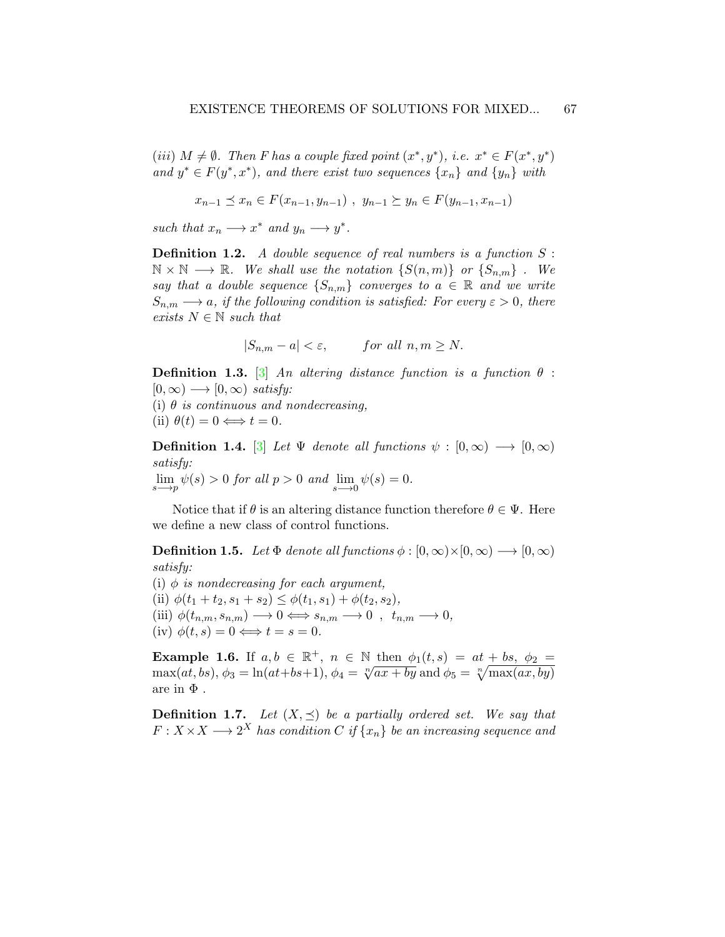(iii)  $M \neq \emptyset$ . Then F has a couple fixed point  $(x^*, y^*)$ , i.e.  $x^* \in F(x^*, y^*)$ and  $y^* \in F(y^*, x^*)$ , and there exist two sequences  $\{x_n\}$  and  $\{y_n\}$  with

$$
x_{n-1} \preceq x_n \in F(x_{n-1}, y_{n-1}), y_{n-1} \succeq y_n \in F(y_{n-1}, x_{n-1})
$$

such that  $x_n \longrightarrow x^*$  and  $y_n \longrightarrow y^*$ .

**Definition 1.2.** A double sequence of real numbers is a function  $S$ :  $\mathbb{N} \times \mathbb{N} \longrightarrow \mathbb{R}$ . We shall use the notation  $\{S(n,m)\}$  or  $\{S_{n,m}\}$ . We say that a double sequence  $\{S_{n,m}\}\$  converges to  $a \in \mathbb{R}$  and we write  $S_{n,m} \longrightarrow a$ , if the following condition is satisfied: For every  $\varepsilon > 0$ , there exists  $N \in \mathbb{N}$  such that

$$
|S_{n,m} - a| < \varepsilon, \qquad \text{for all } n, m \ge N.
$$

**Definition 1.3.** [\[3\]](#page-20-0) An altering distance function is a function  $\theta$ :  $[0, \infty) \longrightarrow [0, \infty)$  satisfy:

(i)  $\theta$  is continuous and nondecreasing,

(ii)  $\theta(t) = 0 \Longleftrightarrow t = 0$ .

**Definition 1.4.** [\[3\]](#page-20-0) Let  $\Psi$  denote all functions  $\psi : [0, \infty) \longrightarrow [0, \infty)$ satisfy:  $\lim_{s \to p} \psi(s) > 0$  for all  $p > 0$  and  $\lim_{s \to 0} \psi(s) = 0$ .

Notice that if  $\theta$  is an altering distance function therefore  $\theta \in \Psi$ . Here we define a new class of control functions.

**Definition 1.5.** Let  $\Phi$  denote all functions  $\phi : [0, \infty) \times [0, \infty) \longrightarrow [0, \infty)$ satisfy:

(i)  $\phi$  is nondecreasing for each argument, (ii)  $\phi(t_1 + t_2, s_1 + s_2) \leq \phi(t_1, s_1) + \phi(t_2, s_2),$  $\label{eq:4} \text{(iii)}~\phi(t_{n,m},s_{n,m})\longrightarrow 0 \Longleftrightarrow s_{n,m}\longrightarrow 0~,~~\widetilde{t}_{n,m}\longrightarrow 0,$ (iv)  $\phi(t, s) = 0 \Longleftrightarrow t = s = 0.$ 

**Example 1.6.** If  $a, b \in \mathbb{R}^+$ ,  $n \in \mathbb{N}$  then  $\phi_1(t, s) = at + bs$ ,  $\phi_2 =$ **Example 1.0.** If  $a, b \in \mathbb{R}^3$ ,  $n \in \mathbb{N}$  then  $\varphi_1(t, s) = at + bs$ ,  $\varphi_2 = \max(at, bs), \phi_3 = \ln(at + bs + 1), \phi_4 = \sqrt[n]{ax + by}$  and  $\phi_5 = \sqrt[n]{\max(ax, by)}$ are in  $\Phi$  .

<span id="page-2-0"></span>**Definition 1.7.** Let  $(X, \preceq)$  be a partially ordered set. We say that  $F: X \times X \longrightarrow 2^X$  has condition C if  $\{x_n\}$  be an increasing sequence and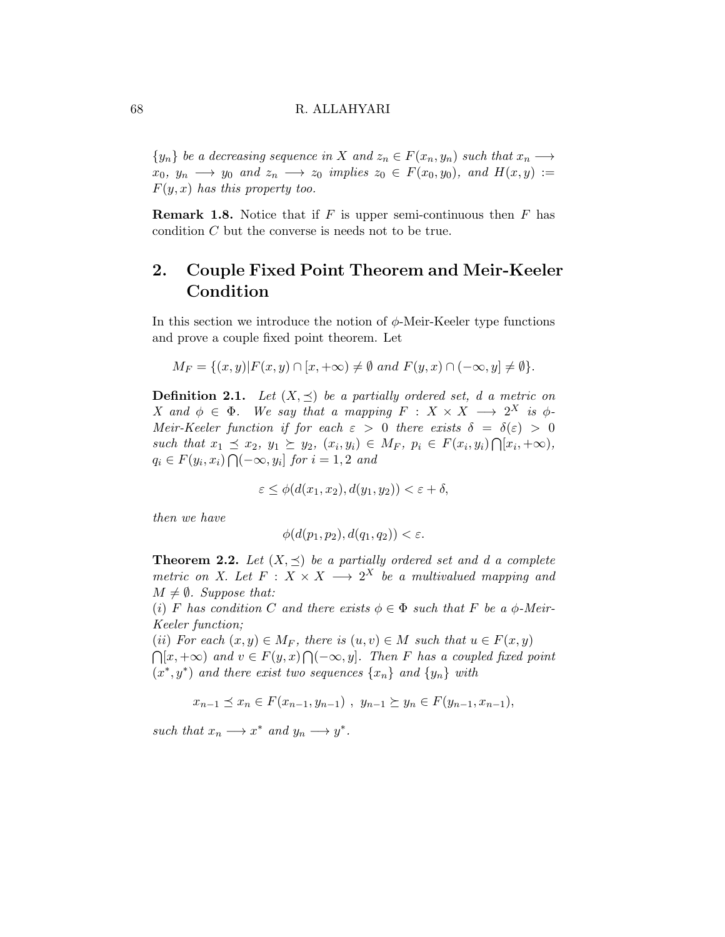${y_n}$  be a decreasing sequence in X and  $z_n \in F(x_n, y_n)$  such that  $x_n \longrightarrow$  $x_0, y_n \longrightarrow y_0$  and  $z_n \longrightarrow z_0$  implies  $z_0 \in F(x_0, y_0)$ , and  $H(x, y) :=$  $F(y, x)$  has this property too.

**Remark 1.8.** Notice that if  $F$  is upper semi-continuous then  $F$  has condition C but the converse is needs not to be true.

## 2. Couple Fixed Point Theorem and Meir-Keeler Condition

In this section we introduce the notion of  $\phi$ -Meir-Keeler type functions and prove a couple fixed point theorem. Let

$$
M_F = \{(x, y) | F(x, y) \cap [x, +\infty) \neq \emptyset \text{ and } F(y, x) \cap (-\infty, y] \neq \emptyset \}.
$$

**Definition 2.1.** Let  $(X, \preceq)$  be a partially ordered set, d a metric on X and  $\phi \in \Phi$ . We say that a mapping  $F : X \times X \longrightarrow 2^X$  is  $\phi$ -Meir-Keeler function if for each  $\varepsilon > 0$  there exists  $\delta = \delta(\varepsilon) > 0$ such that  $x_1 \preceq x_2, y_1 \succeq y_2, (x_i, y_i) \in M_F$ ,  $p_i \in F(x_i, y_i) \cap [x_i, +\infty)$ ,  $q_i \in F(y_i, x_i) \bigcap (-\infty, y_i]$  for  $i = 1, 2$  and

$$
\varepsilon \le \phi(d(x_1, x_2), d(y_1, y_2)) < \varepsilon + \delta,
$$

then we have

$$
\phi(d(p_1, p_2), d(q_1, q_2)) < \varepsilon.
$$

<span id="page-3-0"></span>**Theorem 2.2.** Let  $(X, \preceq)$  be a partially ordered set and d a complete metric on X. Let  $F: X \times X \longrightarrow 2^X$  be a multivalued mapping and  $M \neq \emptyset$ . Suppose that:

(i) F has condition C and there exists  $\phi \in \Phi$  such that F be a  $\phi$ -Meir-Keeler function;

(ii) For each  $(x, y) \in M_F$ , there is  $(u, v) \in M$  such that  $u \in F(x, y)$  $\bigcap [x, +\infty)$  and  $v \in F(y, x) \bigcap (-\infty, y]$ . Then F has a coupled fixed point  $(x^*, y^*)$  and there exist two sequences  $\{x_n\}$  and  $\{y_n\}$  with

$$
x_{n-1} \preceq x_n \in F(x_{n-1}, y_{n-1}), y_{n-1} \succeq y_n \in F(y_{n-1}, x_{n-1}),
$$

such that  $x_n \longrightarrow x^*$  and  $y_n \longrightarrow y^*$ .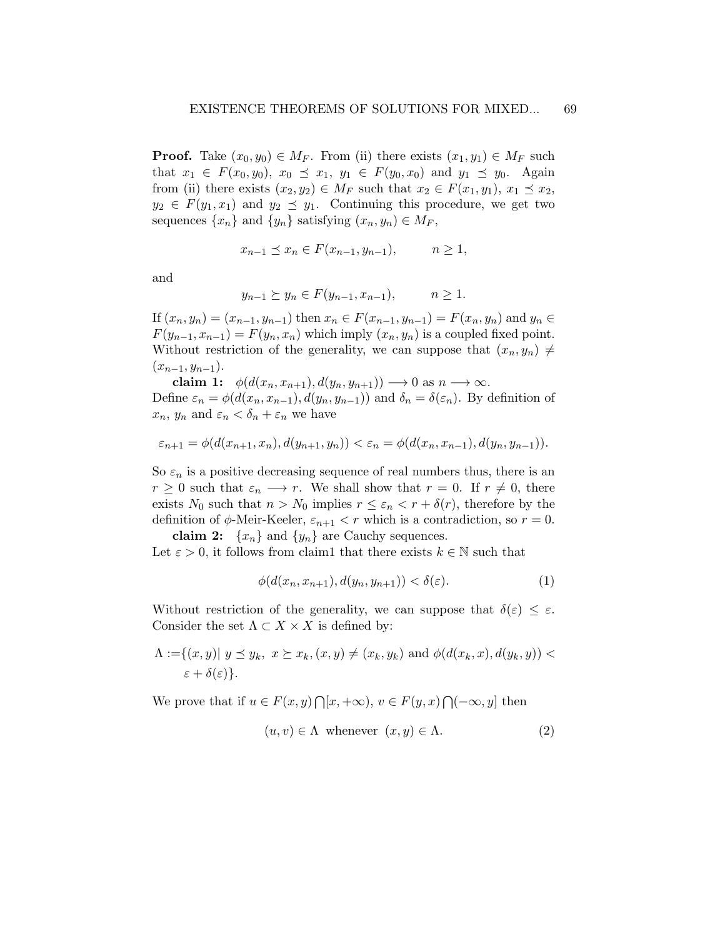**Proof.** Take  $(x_0, y_0) \in M_F$ . From (ii) there exists  $(x_1, y_1) \in M_F$  such that  $x_1 \in F(x_0, y_0), x_0 \preceq x_1, y_1 \in F(y_0, x_0)$  and  $y_1 \preceq y_0$ . Again from (ii) there exists  $(x_2, y_2) \in M_F$  such that  $x_2 \in F(x_1, y_1), x_1 \preceq x_2$ ,  $y_2 \in F(y_1, x_1)$  and  $y_2 \preceq y_1$ . Continuing this procedure, we get two sequences  $\{x_n\}$  and  $\{y_n\}$  satisfying  $(x_n, y_n) \in M_F$ ,

$$
x_{n-1} \le x_n \in F(x_{n-1}, y_{n-1}), \qquad n \ge 1,
$$

and

$$
y_{n-1} \ge y_n \in F(y_{n-1}, x_{n-1}), \qquad n \ge 1.
$$

If  $(x_n, y_n) = (x_{n-1}, y_{n-1})$  then  $x_n \in F(x_{n-1}, y_{n-1}) = F(x_n, y_n)$  and  $y_n \in F(x_n, y_n)$  $F(y_{n-1}, x_{n-1}) = F(y_n, x_n)$  which imply  $(x_n, y_n)$  is a coupled fixed point. Without restriction of the generality, we can suppose that  $(x_n, y_n) \neq$  $(x_{n-1}, y_{n-1}).$ 

claim 1:  $\phi(d(x_n, x_{n+1}), d(y_n, y_{n+1})) \longrightarrow 0$  as  $n \longrightarrow \infty$ . Define  $\varepsilon_n = \phi(d(x_n, x_{n-1}), d(y_n, y_{n-1}))$  and  $\delta_n = \delta(\varepsilon_n)$ . By definition of  $x_n, y_n$  and  $\varepsilon_n < \delta_n + \varepsilon_n$  we have

$$
\varepsilon_{n+1} = \phi(d(x_{n+1}, x_n), d(y_{n+1}, y_n)) < \varepsilon_n = \phi(d(x_n, x_{n-1}), d(y_n, y_{n-1})).
$$

So  $\varepsilon_n$  is a positive decreasing sequence of real numbers thus, there is an  $r \geq 0$  such that  $\varepsilon_n \longrightarrow r$ . We shall show that  $r = 0$ . If  $r \neq 0$ , there exists  $N_0$  such that  $n > N_0$  implies  $r \leq \varepsilon_n < r + \delta(r)$ , therefore by the definition of  $\phi$ -Meir-Keeler,  $\varepsilon_{n+1} < r$  which is a contradiction, so  $r = 0$ .

claim 2:  $\{x_n\}$  and  $\{y_n\}$  are Cauchy sequences. Let  $\varepsilon > 0$ , it follows from claim1 that there exists  $k \in \mathbb{N}$  such that

<span id="page-4-1"></span>
$$
\phi(d(x_n, x_{n+1}), d(y_n, y_{n+1})) < \delta(\varepsilon). \tag{1}
$$

Without restriction of the generality, we can suppose that  $\delta(\varepsilon) \leq \varepsilon$ . Consider the set  $\Lambda \subset X \times X$  is defined by:

$$
\Lambda := \{(x, y) | y \preceq y_k, x \succeq x_k, (x, y) \neq (x_k, y_k) \text{ and } \phi(d(x_k, x), d(y_k, y)) < \varepsilon + \delta(\varepsilon)\}.
$$

We prove that if  $u \in F(x, y) \cap [x, +\infty), v \in F(y, x) \cap (-\infty, y]$  then

<span id="page-4-0"></span>
$$
(u, v) \in \Lambda \text{ whenever } (x, y) \in \Lambda. \tag{2}
$$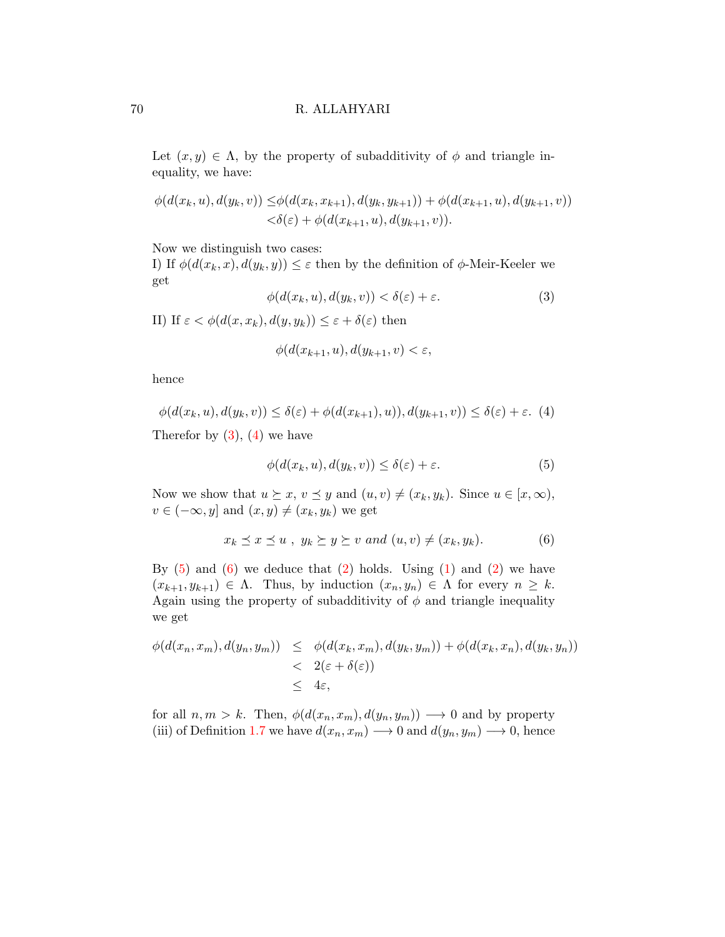Let  $(x, y) \in \Lambda$ , by the property of subadditivity of  $\phi$  and triangle inequality, we have:

$$
\phi(d(x_k, u), d(y_k, v)) \leq \phi(d(x_k, x_{k+1}), d(y_k, y_{k+1})) + \phi(d(x_{k+1}, u), d(y_{k+1}, v)) < \delta(\varepsilon) + \phi(d(x_{k+1}, u), d(y_{k+1}, v)).
$$

Now we distinguish two cases:

I) If  $\phi(d(x_k, x), d(y_k, y)) \leq \varepsilon$  then by the definition of  $\phi$ -Meir-Keeler we get

<span id="page-5-0"></span>
$$
\phi(d(x_k, u), d(y_k, v)) < \delta(\varepsilon) + \varepsilon. \tag{3}
$$

II) If  $\varepsilon < \phi(d(x, x_k), d(y, y_k)) \leq \varepsilon + \delta(\varepsilon)$  then

$$
\phi(d(x_{k+1},u),d(y_{k+1},v)<\varepsilon,
$$

hence

<span id="page-5-1"></span>
$$
\phi(d(x_k, u), d(y_k, v)) \le \delta(\varepsilon) + \phi(d(x_{k+1}), u)), d(y_{k+1}, v)) \le \delta(\varepsilon) + \varepsilon. \tag{4}
$$

Therefor by  $(3)$ ,  $(4)$  we have

<span id="page-5-2"></span>
$$
\phi(d(x_k, u), d(y_k, v)) \le \delta(\varepsilon) + \varepsilon. \tag{5}
$$

Now we show that  $u \succeq x, v \preceq y$  and  $(u, v) \neq (x_k, y_k)$ . Since  $u \in [x, \infty)$ ,  $v \in (-\infty, y]$  and  $(x, y) \neq (x_k, y_k)$  we get

<span id="page-5-3"></span>
$$
x_k \preceq x \preceq u \ , \ y_k \succeq y \succeq v \ and \ (u, v) \neq (x_k, y_k). \tag{6}
$$

By  $(5)$  and  $(6)$  we deduce that  $(2)$  holds. Using  $(1)$  and  $(2)$  we have  $(x_{k+1}, y_{k+1}) \in \Lambda$ . Thus, by induction  $(x_n, y_n) \in \Lambda$  for every  $n \geq k$ . Again using the property of subadditivity of  $\phi$  and triangle inequality we get

<span id="page-5-4"></span>
$$
\begin{array}{lcl} \phi(d(x_n, x_m), d(y_n, y_m)) & \leq & \phi(d(x_k, x_m), d(y_k, y_m)) + \phi(d(x_k, x_n), d(y_k, y_n)) \\ & < & 2(\varepsilon + \delta(\varepsilon)) \\ & & \leq & 4\varepsilon, \end{array}
$$

for all  $n, m > k$ . Then,  $\phi(d(x_n, x_m), d(y_n, y_m)) \longrightarrow 0$  and by property (iii) of Definition [1.7](#page-2-0) we have  $d(x_n, x_m) \rightarrow 0$  and  $d(y_n, y_m) \rightarrow 0$ , hence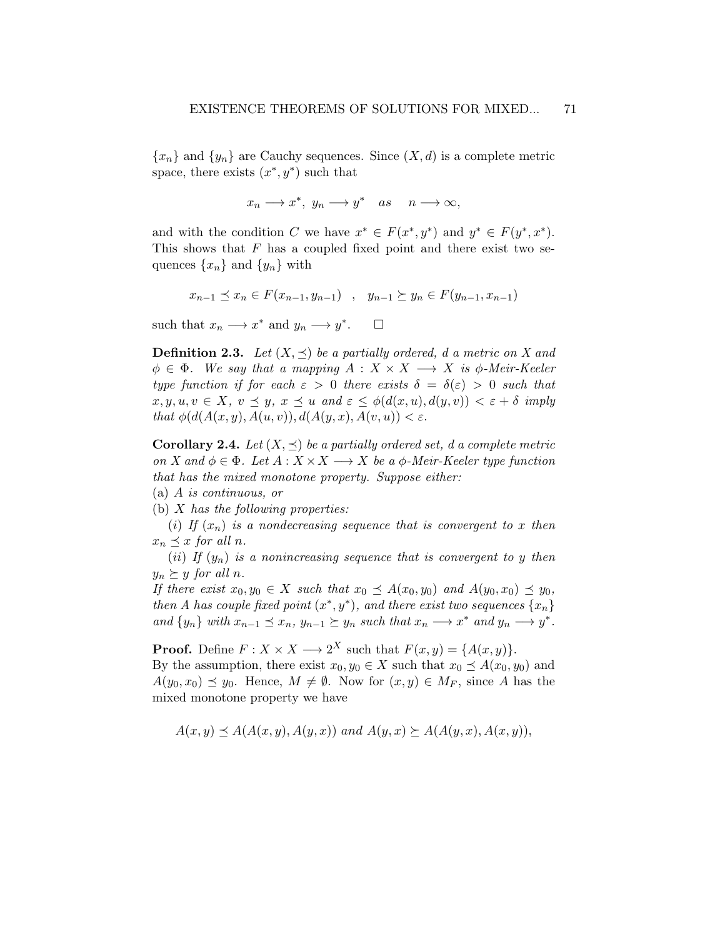${x_n}$  and  ${y_n}$  are Cauchy sequences. Since  $(X, d)$  is a complete metric space, there exists  $(x^*, y^*)$  such that

$$
x_n \longrightarrow x^*, \ y_n \longrightarrow y^* \quad as \quad n \longrightarrow \infty,
$$

and with the condition C we have  $x^* \in F(x^*, y^*)$  and  $y^* \in F(y^*, x^*)$ . This shows that  $F$  has a coupled fixed point and there exist two sequences  $\{x_n\}$  and  $\{y_n\}$  with

$$
x_{n-1} \preceq x_n \in F(x_{n-1}, y_{n-1}) \quad , \quad y_{n-1} \succeq y_n \in F(y_{n-1}, x_{n-1})
$$

such that  $x_n \longrightarrow x^*$  and  $y_n \longrightarrow y^*$  $\Box$ 

**Definition 2.3.** Let  $(X, \preceq)$  be a partially ordered, d a metric on X and  $\phi \in \Phi$ . We say that a mapping  $A: X \times X \longrightarrow X$  is  $\phi$ -Meir-Keeler type function if for each  $\varepsilon > 0$  there exists  $\delta = \delta(\varepsilon) > 0$  such that  $x, y, u, v \in X$ ,  $v \preceq y$ ,  $x \preceq u$  and  $\varepsilon \leq \phi(d(x, u), d(y, v)) < \varepsilon + \delta$  imply that  $\phi(d(A(x, y), A(u, v)), d(A(y, x), A(v, u))) < \varepsilon$ .

<span id="page-6-0"></span>**Corollary 2.4.** Let  $(X, \preceq)$  be a partially ordered set, d a complete metric on X and  $\phi \in \Phi$ . Let  $A : X \times X \longrightarrow X$  be a  $\phi$ -Meir-Keeler type function that has the mixed monotone property. Suppose either:

(a) A is continuous, or

(b)  $X$  has the following properties:

(i) If  $(x_n)$  is a nondecreasing sequence that is convergent to x then  $x_n \preceq x$  for all n.

(ii) If  $(y_n)$  is a nonincreasing sequence that is convergent to y then  $y_n \succeq y$  for all n.

If there exist  $x_0, y_0 \in X$  such that  $x_0 \preceq A(x_0, y_0)$  and  $A(y_0, x_0) \preceq y_0$ , then A has couple fixed point  $(x^*, y^*)$ , and there exist two sequences  $\{x_n\}$ and  $\{y_n\}$  with  $x_{n-1} \preceq x_n$ ,  $y_{n-1} \succeq y_n$  such that  $x_n \longrightarrow x^*$  and  $y_n \longrightarrow y^*$ .

**Proof.** Define  $F: X \times X \longrightarrow 2^X$  such that  $F(x, y) = \{A(x, y)\}.$ 

By the assumption, there exist  $x_0, y_0 \in X$  such that  $x_0 \preceq A(x_0, y_0)$  and  $A(y_0, x_0) \preceq y_0$ . Hence,  $M \neq \emptyset$ . Now for  $(x, y) \in M_F$ , since A has the mixed monotone property we have

$$
A(x,y) \preceq A(A(x,y), A(y,x)) \text{ and } A(y,x) \succeq A(A(y,x), A(x,y)),
$$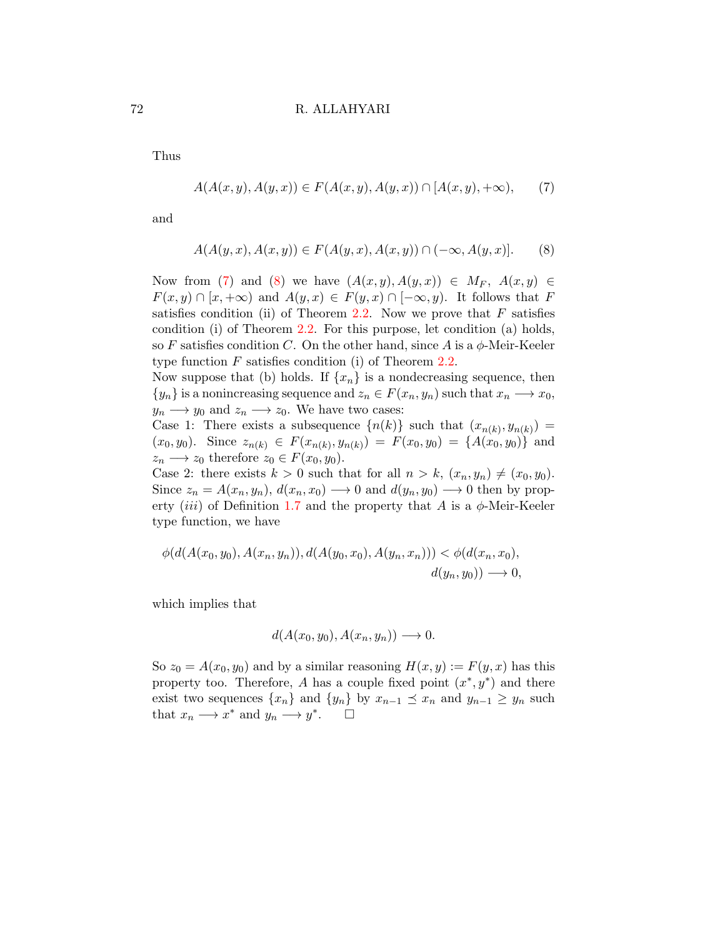Thus

$$
A(A(x, y), A(y, x)) \in F(A(x, y), A(y, x)) \cap [A(x, y), +\infty),
$$
 (7)

and

<span id="page-7-0"></span>
$$
A(A(y, x), A(x, y)) \in F(A(y, x), A(x, y)) \cap (-\infty, A(y, x)].
$$
 (8)

Now from [\(7\)](#page-5-4) and [\(8\)](#page-7-0) we have  $(A(x,y),A(y,x)) \in M_F$ ,  $A(x,y) \in$  $F(x, y) \cap [x, +\infty)$  and  $A(y, x) \in F(y, x) \cap [-\infty, y)$ . It follows that F satisfies condition (ii) of Theorem [2.2.](#page-3-0) Now we prove that  $F$  satisfies condition (i) of Theorem [2.2.](#page-3-0) For this purpose, let condition (a) holds, so F satisfies condition C. On the other hand, since A is a  $\phi$ -Meir-Keeler type function  $F$  satisfies condition (i) of Theorem [2.2.](#page-3-0)

Now suppose that (b) holds. If  $\{x_n\}$  is a nondecreasing sequence, then  $\{y_n\}$  is a nonincreasing sequence and  $z_n \in F(x_n, y_n)$  such that  $x_n \longrightarrow x_0$ ,  $y_n \longrightarrow y_0$  and  $z_n \longrightarrow z_0$ . We have two cases:

Case 1: There exists a subsequence  $\{n(k)\}\$  such that  $(x_{n(k)}, y_{n(k)}) =$  $(x_0, y_0)$ . Since  $z_{n(k)} \in F(x_{n(k)}, y_{n(k)}) = F(x_0, y_0) = \{A(x_0, y_0)\}\$ and  $z_n \longrightarrow z_0$  therefore  $z_0 \in F(x_0, y_0)$ .

Case 2: there exists  $k > 0$  such that for all  $n > k$ ,  $(x_n, y_n) \neq (x_0, y_0)$ . Since  $z_n = A(x_n, y_n), d(x_n, x_0) \longrightarrow 0$  and  $d(y_n, y_0) \longrightarrow 0$  then by prop-erty (iii) of Definition [1.7](#page-2-0) and the property that A is a  $\phi$ -Meir-Keeler type function, we have

$$
\phi(d(A(x_0, y_0), A(x_n, y_n)), d(A(y_0, x_0), A(y_n, x_n))) < \phi(d(x_n, x_0),
$$
  

$$
d(y_n, y_0)) \longrightarrow 0,
$$

which implies that

$$
d(A(x_0, y_0), A(x_n, y_n)) \longrightarrow 0.
$$

So  $z_0 = A(x_0, y_0)$  and by a similar reasoning  $H(x, y) := F(y, x)$  has this property too. Therefore, A has a couple fixed point  $(x^*, y^*)$  and there exist two sequences  $\{x_n\}$  and  $\{y_n\}$  by  $x_{n-1} \preceq x_n$  and  $y_{n-1} \geq y_n$  such that  $x_n \longrightarrow x^*$  and  $y_n \longrightarrow y^*$ .  $\Box$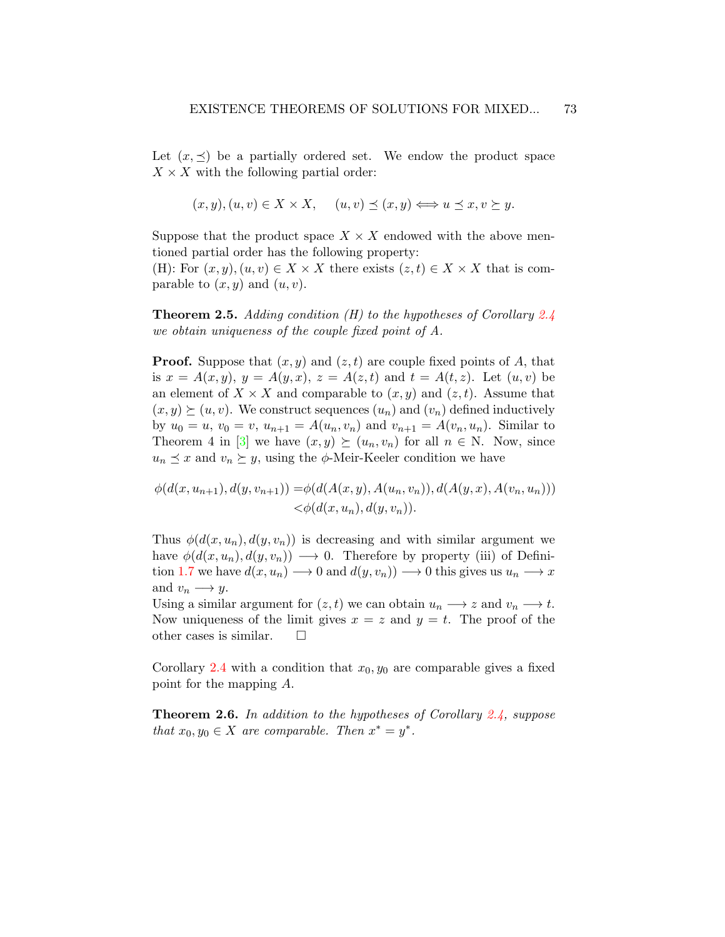Let  $(x, \preceq)$  be a partially ordered set. We endow the product space  $X \times X$  with the following partial order:

$$
(x, y), (u, v) \in X \times X
$$
,  $(u, v) \preceq (x, y) \Longleftrightarrow u \preceq x, v \succeq y$ .

Suppose that the product space  $X \times X$  endowed with the above mentioned partial order has the following property:

(H): For  $(x, y), (u, v) \in X \times X$  there exists  $(z, t) \in X \times X$  that is comparable to  $(x, y)$  and  $(u, v)$ .

<span id="page-8-0"></span>**Theorem 2.5.** Adding condition (H) to the hypotheses of Corollary  $2.4$ we obtain uniqueness of the couple fixed point of A.

**Proof.** Suppose that  $(x, y)$  and  $(z, t)$  are couple fixed points of A, that is  $x = A(x, y), y = A(y, x), z = A(z, t)$  and  $t = A(t, z)$ . Let  $(u, v)$  be an element of  $X \times X$  and comparable to  $(x, y)$  and  $(z, t)$ . Assume that  $(x, y) \succeq (u, v)$ . We construct sequences  $(u_n)$  and  $(v_n)$  defined inductively by  $u_0 = u$ ,  $v_0 = v$ ,  $u_{n+1} = A(u_n, v_n)$  and  $v_{n+1} = A(v_n, u_n)$ . Similar to Theorem 4 in [\[3\]](#page-20-0) we have  $(x, y) \succeq (u_n, v_n)$  for all  $n \in \mathbb{N}$ . Now, since  $u_n \preceq x$  and  $v_n \succeq y$ , using the  $\phi$ -Meir-Keeler condition we have

$$
\phi(d(x, u_{n+1}), d(y, v_{n+1})) = \phi(d(A(x, y), A(u_n, v_n)), d(A(y, x), A(v_n, u_n))) < \phi(d(x, u_n), d(y, v_n)).
$$

Thus  $\phi(d(x, u_n), d(y, v_n))$  is decreasing and with similar argument we have  $\phi(d(x, u_n), d(y, v_n)) \longrightarrow 0$ . Therefore by property (iii) of Defini-tion [1.7](#page-2-0) we have  $d(x, u_n) \longrightarrow 0$  and  $d(y, v_n) \longrightarrow 0$  this gives us  $u_n \longrightarrow x$ and  $v_n \longrightarrow y$ .

Using a similar argument for  $(z, t)$  we can obtain  $u_n \longrightarrow z$  and  $v_n \longrightarrow t$ . Now uniqueness of the limit gives  $x = z$  and  $y = t$ . The proof of the other cases is similar.  $\square$ 

Corollary [2.4](#page-6-0) with a condition that  $x_0, y_0$  are comparable gives a fixed point for the mapping A.

<span id="page-8-1"></span>Theorem 2.6. In addition to the hypotheses of Corollary [2.4,](#page-6-0) suppose that  $x_0, y_0 \in X$  are comparable. Then  $x^* = y^*$ .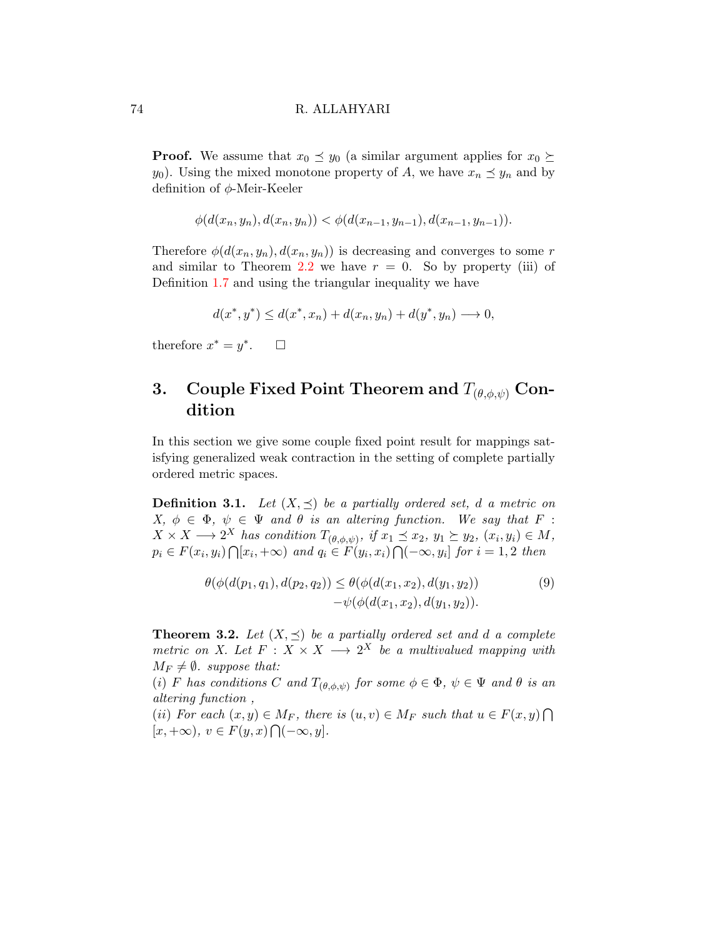**Proof.** We assume that  $x_0 \preceq y_0$  (a similar argument applies for  $x_0 \succeq$  $y_0$ ). Using the mixed monotone property of A, we have  $x_n \preceq y_n$  and by definition of φ-Meir-Keeler

$$
\phi(d(x_n, y_n), d(x_n, y_n)) < \phi(d(x_{n-1}, y_{n-1}), d(x_{n-1}, y_{n-1})).
$$

Therefore  $\phi(d(x_n, y_n), d(x_n, y_n))$  is decreasing and converges to some r and similar to Theorem [2.2](#page-3-0) we have  $r = 0$ . So by property (iii) of Definition [1.7](#page-2-0) and using the triangular inequality we have

$$
d(x^*, y^*) \le d(x^*, x_n) + d(x_n, y_n) + d(y^*, y_n) \to 0,
$$

therefore  $x^* = y^*$  $\Box$ 

## 3. Couple Fixed Point Theorem and  $T_{(\theta,\phi,\psi)}$  Condition

In this section we give some couple fixed point result for mappings satisfying generalized weak contraction in the setting of complete partially ordered metric spaces.

**Definition 3.1.** Let  $(X, \preceq)$  be a partially ordered set, d a metric on  $X, \phi \in \Phi, \psi \in \Psi$  and  $\theta$  is an altering function. We say that F:  $X \times X \longrightarrow 2^X$  has condition  $T_{(\theta,\phi,\psi)}$ , if  $x_1 \preceq x_2$ ,  $y_1 \succeq y_2$ ,  $(x_i, y_i) \in M$ ,  $p_i \in F(x_i, y_i) \cap [x_i, +\infty)$  and  $q_i \in F(y_i, x_i) \cap (-\infty, y_i]$  for  $i = 1, 2$  then

<span id="page-9-0"></span>
$$
\theta(\phi(d(p_1, q_1), d(p_2, q_2)) \leq \theta(\phi(d(x_1, x_2), d(y_1, y_2)) - \psi(\phi(d(x_1, x_2), d(y_1, y_2)).
$$
\n(9)

<span id="page-9-1"></span>**Theorem 3.2.** Let  $(X, \preceq)$  be a partially ordered set and d a complete metric on X. Let  $F: X \times X \longrightarrow 2^X$  be a multivalued mapping with  $M_F \neq \emptyset$ . suppose that:

(i) F has conditions C and  $T_{(\theta,\phi,\psi)}$  for some  $\phi \in \Phi$ ,  $\psi \in \Psi$  and  $\theta$  is an altering function ,

(ii) For each  $(x, y) \in M_F$ , there is  $(u, v) \in M_F$  such that  $u \in F(x, y) \cap$  $[x, +\infty), v \in F(y, x) \bigcap (-\infty, y].$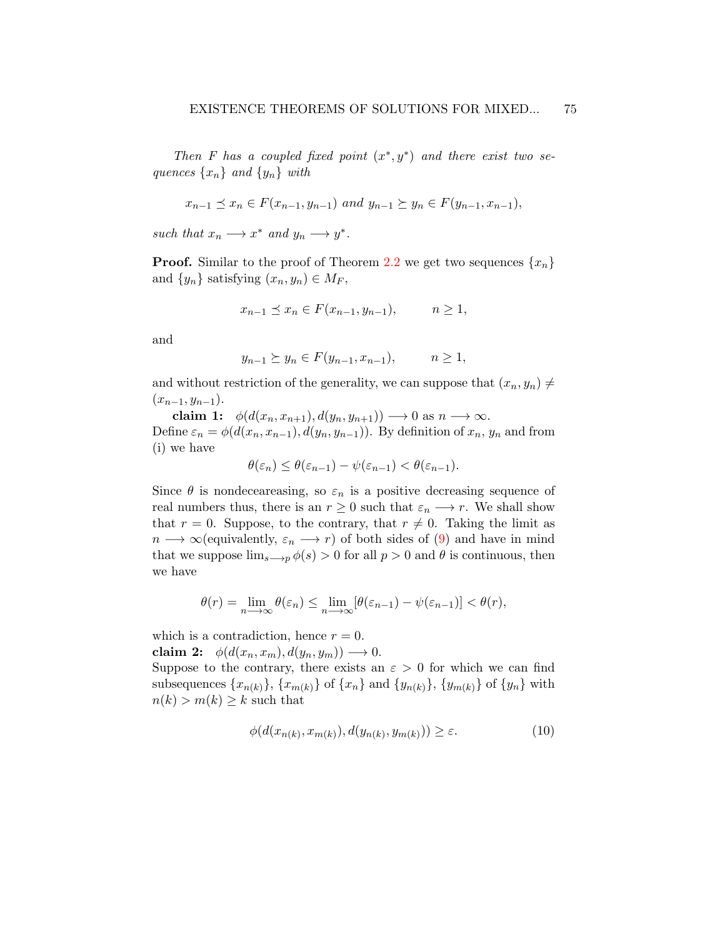Then F has a coupled fixed point  $(x^*, y^*)$  and there exist two sequences  $\{x_n\}$  and  $\{y_n\}$  with

$$
x_{n-1} \preceq x_n \in F(x_{n-1}, y_{n-1})
$$
 and  $y_{n-1} \succeq y_n \in F(y_{n-1}, x_{n-1}),$ 

such that  $x_n \longrightarrow x^*$  and  $y_n \longrightarrow y^*$ .

**Proof.** Similar to the proof of Theorem [2.2](#page-3-0) we get two sequences  $\{x_n\}$ and  $\{y_n\}$  satisfying  $(x_n, y_n) \in M_F$ ,

$$
x_{n-1} \le x_n \in F(x_{n-1}, y_{n-1}), \qquad n \ge 1,
$$

and

$$
y_{n-1} \ge y_n \in F(y_{n-1}, x_{n-1}), \qquad n \ge 1,
$$

and without restriction of the generality, we can suppose that  $(x_n, y_n) \neq$  $(x_{n-1}, y_{n-1}).$ 

claim 1:  $\phi(d(x_n, x_{n+1}), d(y_n, y_{n+1})) \longrightarrow 0$  as  $n \longrightarrow \infty$ . Define  $\varepsilon_n = \phi(d(x_n, x_{n-1}), d(y_n, y_{n-1}))$ . By definition of  $x_n, y_n$  and from (i) we have

$$
\theta(\varepsilon_n) \le \theta(\varepsilon_{n-1}) - \psi(\varepsilon_{n-1}) < \theta(\varepsilon_{n-1}).
$$

Since  $\theta$  is nondeceareasing, so  $\varepsilon_n$  is a positive decreasing sequence of real numbers thus, there is an  $r \geq 0$  such that  $\varepsilon_n \longrightarrow r$ . We shall show that  $r = 0$ . Suppose, to the contrary, that  $r \neq 0$ . Taking the limit as  $n \longrightarrow \infty$  (equivalently,  $\varepsilon_n \longrightarrow r$ ) of both sides of [\(9\)](#page-9-0) and have in mind that we suppose  $\lim_{s\to p}\phi(s) > 0$  for all  $p > 0$  and  $\theta$  is continuous, then we have

$$
\theta(r) = \lim_{n \to \infty} \theta(\varepsilon_n) \le \lim_{n \to \infty} [\theta(\varepsilon_{n-1}) - \psi(\varepsilon_{n-1})] < \theta(r),
$$

which is a contradiction, hence  $r = 0$ .

claim 2:  $\phi(d(x_n, x_m), d(y_n, y_m)) \longrightarrow 0.$ 

Suppose to the contrary, there exists an  $\varepsilon > 0$  for which we can find subsequences  $\{x_{n(k)}\}, \{x_{m(k)}\}$  of  $\{x_n\}$  and  $\{y_{n(k)}\}, \{y_{m(k)}\}$  of  $\{y_n\}$  with  $n(k) > m(k) \geq k$  such that

<span id="page-10-0"></span>
$$
\phi(d(x_{n(k)}, x_{m(k)}), d(y_{n(k)}, y_{m(k)})) \ge \varepsilon. \tag{10}
$$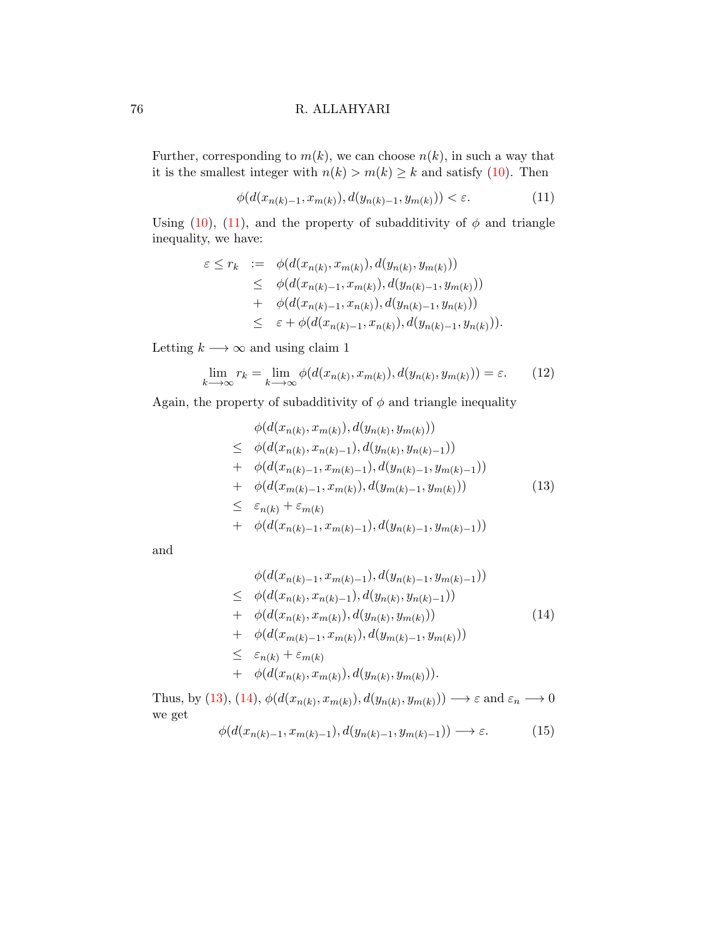Further, corresponding to  $m(k)$ , we can choose  $n(k)$ , in such a way that it is the smallest integer with  $n(k) > m(k) \geq k$  and satisfy [\(10\)](#page-10-0). Then

<span id="page-11-0"></span>
$$
\phi(d(x_{n(k)-1}, x_{m(k)}), d(y_{n(k)-1}, y_{m(k)})) < \varepsilon.
$$
\n(11)

Using [\(10\)](#page-10-0), [\(11\)](#page-11-0), and the property of subadditivity of  $\phi$  and triangle inequality, we have:

$$
\varepsilon \leq r_k \quad := \quad \phi(d(x_{n(k)}, x_{m(k)}), d(y_{n(k)}, y_{m(k)}))
$$
\n
$$
\leq \quad \phi(d(x_{n(k)-1}, x_{m(k)}), d(y_{n(k)-1}, y_{m(k)}))
$$
\n
$$
+ \quad \phi(d(x_{n(k)-1}, x_{n(k)}), d(y_{n(k)-1}, y_{n(k)}))
$$
\n
$$
\leq \quad \varepsilon + \phi(d(x_{n(k)-1}, x_{n(k)}), d(y_{n(k)-1}, y_{n(k)})).
$$

Letting  $k \longrightarrow \infty$  and using claim 1

<span id="page-11-3"></span>
$$
\lim_{k \to \infty} r_k = \lim_{k \to \infty} \phi(d(x_{n(k)}, x_{m(k)}), d(y_{n(k)}, y_{m(k)})) = \varepsilon.
$$
 (12)

Again, the property of subadditivity of  $\phi$  and triangle inequality

<span id="page-11-1"></span>
$$
\begin{aligned}\n&\phi(d(x_{n(k)}, x_{m(k)}), d(y_{n(k)}, y_{m(k)})) \\
&\leq \phi(d(x_{n(k)}, x_{n(k)-1}), d(y_{n(k)}, y_{n(k)-1})) \\
&+ \phi(d(x_{n(k)-1}, x_{m(k)-1}), d(y_{n(k)-1}, y_{m(k)-1})) \\
&+ \phi(d(x_{m(k)-1}, x_{m(k)}), d(y_{m(k)-1}, y_{m(k)})) \\
&\leq \varepsilon_{n(k)} + \varepsilon_{m(k)} \\
&+ \phi(d(x_{n(k)-1}, x_{m(k)-1}), d(y_{n(k)-1}, y_{m(k)-1}))\n\end{aligned} \tag{13}
$$

and

<span id="page-11-2"></span>
$$
\begin{aligned}\n&\phi(d(x_{n(k)-1}, x_{m(k)-1}), d(y_{n(k)-1}, y_{m(k)-1})) \\
&\leq \phi(d(x_{n(k)}, x_{n(k)-1}), d(y_{n(k)}, y_{n(k)-1})) \\
&+ \phi(d(x_{n(k)}, x_{m(k)}), d(y_{n(k)}, y_{m(k)})) \\
&+ \phi(d(x_{m(k)-1}, x_{m(k)}), d(y_{m(k)-1}, y_{m(k)})) \\
&\leq \varepsilon_{n(k)} + \varepsilon_{m(k)} \\
&+ \phi(d(x_{n(k)}, x_{m(k)}), d(y_{n(k)}, y_{m(k}))).\n\end{aligned}
$$
\n(14)

Thus, by [\(13\)](#page-11-1), [\(14\)](#page-11-2),  $\phi(d(x_{n(k)}, x_{m(k)}), d(y_{n(k)}, y_{m(k)})) \longrightarrow \varepsilon$  and  $\varepsilon_n \longrightarrow 0$ we get

<span id="page-11-4"></span>
$$
\phi(d(x_{n(k)-1}, x_{m(k)-1}), d(y_{n(k)-1}, y_{m(k)-1})) \longrightarrow \varepsilon. \tag{15}
$$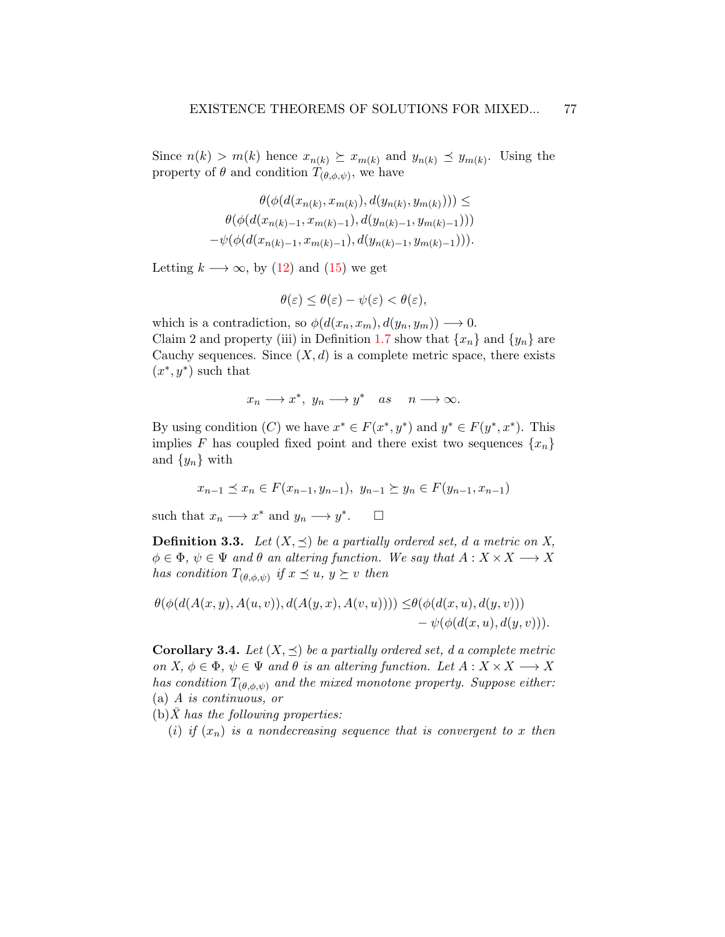Since  $n(k) > m(k)$  hence  $x_{n(k)} \succeq x_{m(k)}$  and  $y_{n(k)} \preceq y_{m(k)}$ . Using the property of  $\theta$  and condition  $T_{(\theta,\phi,\psi)}$ , we have

$$
\theta(\phi(d(x_{n(k)}, x_{m(k)}), d(y_{n(k)}, y_{m(k)}))) \le
$$
  

$$
\theta(\phi(d(x_{n(k)-1}, x_{m(k)-1}), d(y_{n(k)-1}, y_{m(k)-1})))
$$
  

$$
-\psi(\phi(d(x_{n(k)-1}, x_{m(k)-1}), d(y_{n(k)-1}, y_{m(k)-1}))).
$$

Letting  $k \longrightarrow \infty$ , by [\(12\)](#page-11-3) and [\(15\)](#page-11-4) we get

$$
\theta(\varepsilon) \le \theta(\varepsilon) - \psi(\varepsilon) < \theta(\varepsilon),
$$

which is a contradiction, so  $\phi(d(x_n, x_m), d(y_n, y_m)) \longrightarrow 0$ . Claim 2 and property (iii) in Definition [1.7](#page-2-0) show that  $\{x_n\}$  and  $\{y_n\}$  are Cauchy sequences. Since  $(X, d)$  is a complete metric space, there exists  $(x^*, y^*)$  such that

$$
x_n \longrightarrow x^*, \ y_n \longrightarrow y^* \quad as \quad n \longrightarrow \infty.
$$

By using condition (C) we have  $x^* \in F(x^*, y^*)$  and  $y^* \in F(y^*, x^*)$ . This implies F has coupled fixed point and there exist two sequences  $\{x_n\}$ and  $\{y_n\}$  with

$$
x_{n-1} \preceq x_n \in F(x_{n-1}, y_{n-1}), y_{n-1} \succeq y_n \in F(y_{n-1}, x_{n-1})
$$

such that  $x_n \longrightarrow x^*$  and  $y_n \longrightarrow y^*$  $\Box$ 

**Definition 3.3.** Let  $(X, \preceq)$  be a partially ordered set, d a metric on X,  $\phi \in \Phi$ ,  $\psi \in \Psi$  and  $\theta$  an altering function. We say that  $A: X \times X \longrightarrow X$ has condition  $T_{(\theta,\phi,\psi)}$  if  $x \preceq u, y \succeq v$  then

$$
\theta(\phi(d(A(x,y),A(u,v)),d(A(y,x),A(v,u)))) \leq \theta(\phi(d(x,u),d(y,v)))
$$
  
-  $\psi(\phi(d(x,u),d(y,v))).$ 

<span id="page-12-0"></span>**Corollary 3.4.** Let  $(X, \leq)$  be a partially ordered set, d a complete metric on X,  $\phi \in \Phi$ ,  $\psi \in \Psi$  and  $\theta$  is an altering function. Let  $A: X \times X \longrightarrow X$ has condition  $T_{(\theta,\phi,\psi)}$  and the mixed monotone property. Suppose either: (a) A is continuous, or

- $(b)$ X has the following properties:
	- (i) if  $(x_n)$  is a nondecreasing sequence that is convergent to x then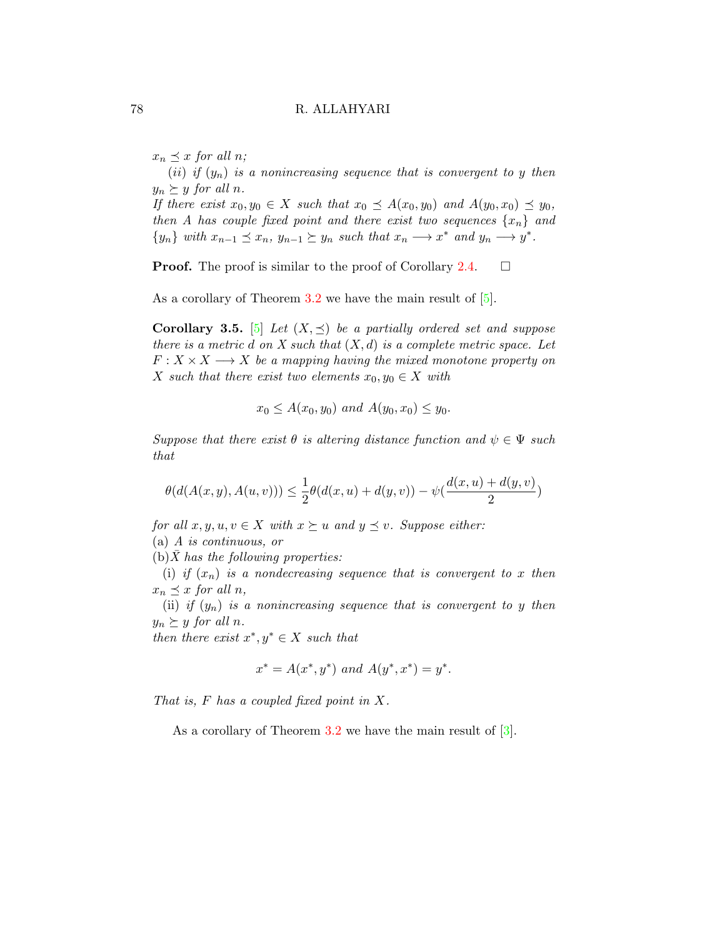$x_n \preceq x$  for all n;

(ii) if  $(y_n)$  is a nonincreasing sequence that is convergent to y then  $y_n \succeq y$  for all n.

If there exist  $x_0, y_0 \in X$  such that  $x_0 \preceq A(x_0, y_0)$  and  $A(y_0, x_0) \preceq y_0$ , then A has couple fixed point and there exist two sequences  $\{x_n\}$  and  $\{y_n\}$  with  $x_{n-1} \preceq x_n$ ,  $y_{n-1} \succeq y_n$  such that  $x_n \longrightarrow x^*$  and  $y_n \longrightarrow y^*$ .

**Proof.** The proof is similar to the proof of Corollary [2.4.](#page-6-0)  $\Box$ 

As a corollary of Theorem [3.2](#page-9-1) we have the main result of  $[5]$ .

**Corollary 3.5.** [\[5\]](#page-20-1) Let  $(X, \preceq)$  be a partially ordered set and suppose there is a metric d on X such that  $(X, d)$  is a complete metric space. Let  $F: X \times X \longrightarrow X$  be a mapping having the mixed monotone property on X such that there exist two elements  $x_0, y_0 \in X$  with

$$
x_0 \leq A(x_0, y_0)
$$
 and  $A(y_0, x_0) \leq y_0$ .

Suppose that there exist  $\theta$  is altering distance function and  $\psi \in \Psi$  such that

$$
\theta(d(A(x, y), A(u, v))) \le \frac{1}{2}\theta(d(x, u) + d(y, v)) - \psi(\frac{d(x, u) + d(y, v)}{2})
$$

for all  $x, y, u, v \in X$  with  $x \succeq u$  and  $y \preceq v$ . Suppose either: (a) A is continuous, or

 $(b)$ X has the following properties:

(i) if  $(x_n)$  is a nondecreasing sequence that is convergent to x then  $x_n \preceq x$  for all n,

(ii) if  $(y_n)$  is a nonincreasing sequence that is convergent to y then  $y_n \succeq y$  for all n.

then there exist  $x^*, y^* \in X$  such that

$$
x^* = A(x^*, y^*) \text{ and } A(y^*, x^*) = y^*.
$$

That is, F has a coupled fixed point in X.

As a corollary of Theorem [3.2](#page-9-1) we have the main result of  $[3]$ .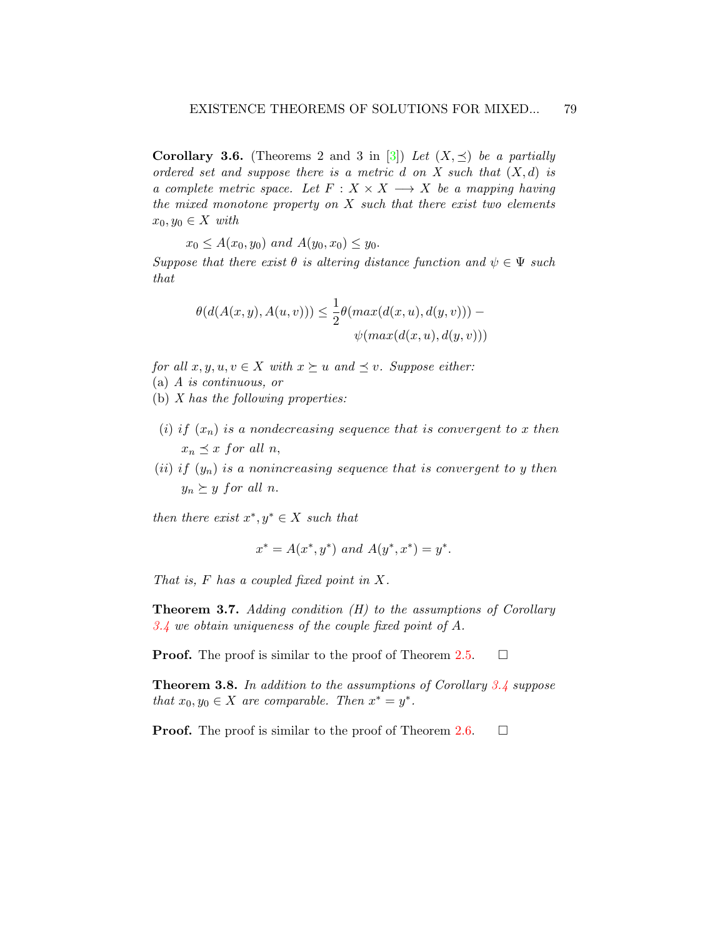**Corollary 3.6.** (Theorems 2 and 3 in [\[3\]](#page-20-0)) Let  $(X, \preceq)$  be a partially ordered set and suppose there is a metric d on X such that  $(X, d)$  is a complete metric space. Let  $F : X \times X \longrightarrow X$  be a mapping having the mixed monotone property on  $X$  such that there exist two elements  $x_0, y_0 \in X$  with

 $x_0 \leq A(x_0, y_0)$  and  $A(y_0, x_0) \leq y_0$ .

Suppose that there exist  $\theta$  is altering distance function and  $\psi \in \Psi$  such that

$$
\theta(d(A(x,y),A(u,v))) \leq \frac{1}{2}\theta(max(d(x,u),d(y,v))) - \psi(max(d(x,u),d(y,v)))
$$

for all  $x, y, u, v \in X$  with  $x \succeq u$  and  $\preceq v$ . Suppose either:

- (a) A is continuous, or
- (b) X has the following properties:
- (i) if  $(x_n)$  is a nondecreasing sequence that is convergent to x then  $x_n \preceq x$  for all n,
- (ii) if  $(y_n)$  is a nonincreasing sequence that is convergent to y then  $y_n \succeq y$  for all n.

then there exist  $x^*, y^* \in X$  such that

$$
x^* = A(x^*, y^*)
$$
 and  $A(y^*, x^*) = y^*$ .

That is, F has a coupled fixed point in X.

<span id="page-14-0"></span>**Theorem 3.7.** Adding condition  $(H)$  to the assumptions of Corollary [3.4](#page-12-0) we obtain uniqueness of the couple fixed point of A.

**Proof.** The proof is similar to the proof of Theorem [2.5.](#page-8-0)  $\Box$ 

<span id="page-14-1"></span>**Theorem 3.8.** In addition to the assumptions of Corollary [3.4](#page-12-0) suppose that  $x_0, y_0 \in X$  are comparable. Then  $x^* = y^*$ .

**Proof.** The proof is similar to the proof of Theorem [2.6.](#page-8-1)  $\Box$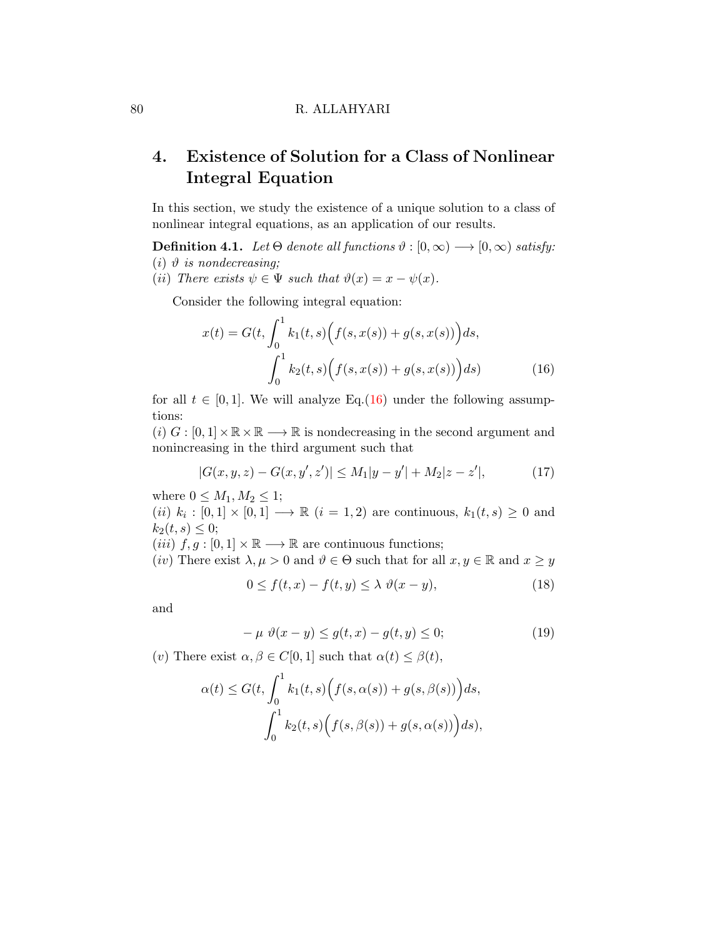# 4. Existence of Solution for a Class of Nonlinear Integral Equation

In this section, we study the existence of a unique solution to a class of nonlinear integral equations, as an application of our results.

**Definition 4.1.** Let  $\Theta$  denote all functions  $\vartheta : [0, \infty) \longrightarrow [0, \infty)$  satisfy: (i)  $\vartheta$  is nondecreasing;

(ii) There exists  $\psi \in \Psi$  such that  $\vartheta(x) = x - \psi(x)$ .

Consider the following integral equation:

<span id="page-15-0"></span>
$$
x(t) = G(t, \int_0^1 k_1(t, s) \Big( f(s, x(s)) + g(s, x(s)) \Big) ds,
$$

$$
\int_0^1 k_2(t, s) \Big( f(s, x(s)) + g(s, x(s)) \Big) ds
$$
(16)

for all  $t \in [0, 1]$ . We will analyze Eq.[\(16\)](#page-15-0) under the following assumptions:

 $(i)$   $G : [0,1] \times \mathbb{R} \times \mathbb{R} \longrightarrow \mathbb{R}$  is nondecreasing in the second argument and nonincreasing in the third argument such that

<span id="page-15-3"></span>
$$
|G(x, y, z) - G(x, y', z')| \le M_1 |y - y'| + M_2 |z - z'|,
$$
\n(17)

where  $0 \leq M_1, M_2 \leq 1$ ;

(ii)  $k_i : [0,1] \times [0,1] \longrightarrow \mathbb{R}$  (i = 1, 2) are continuous,  $k_1(t,s) \geq 0$  and  $k_2(t, s) \leq 0;$ 

(iii)  $f, g : [0, 1] \times \mathbb{R} \longrightarrow \mathbb{R}$  are continuous functions;

(iv) There exist  $\lambda, \mu > 0$  and  $\vartheta \in \Theta$  such that for all  $x, y \in \mathbb{R}$  and  $x \ge y$ 

<span id="page-15-1"></span>
$$
0 \le f(t, x) - f(t, y) \le \lambda \ \vartheta(x - y), \tag{18}
$$

and

<span id="page-15-2"></span>
$$
-\mu \vartheta(x-y) \le g(t,x) - g(t,y) \le 0; \tag{19}
$$

(v) There exist  $\alpha, \beta \in C[0,1]$  such that  $\alpha(t) \leq \beta(t)$ ,

$$
\alpha(t) \le G(t, \int_0^1 k_1(t, s) \Big( f(s, \alpha(s)) + g(s, \beta(s)) \Big) ds,
$$
  

$$
\int_0^1 k_2(t, s) \Big( f(s, \beta(s)) + g(s, \alpha(s)) \Big) ds,
$$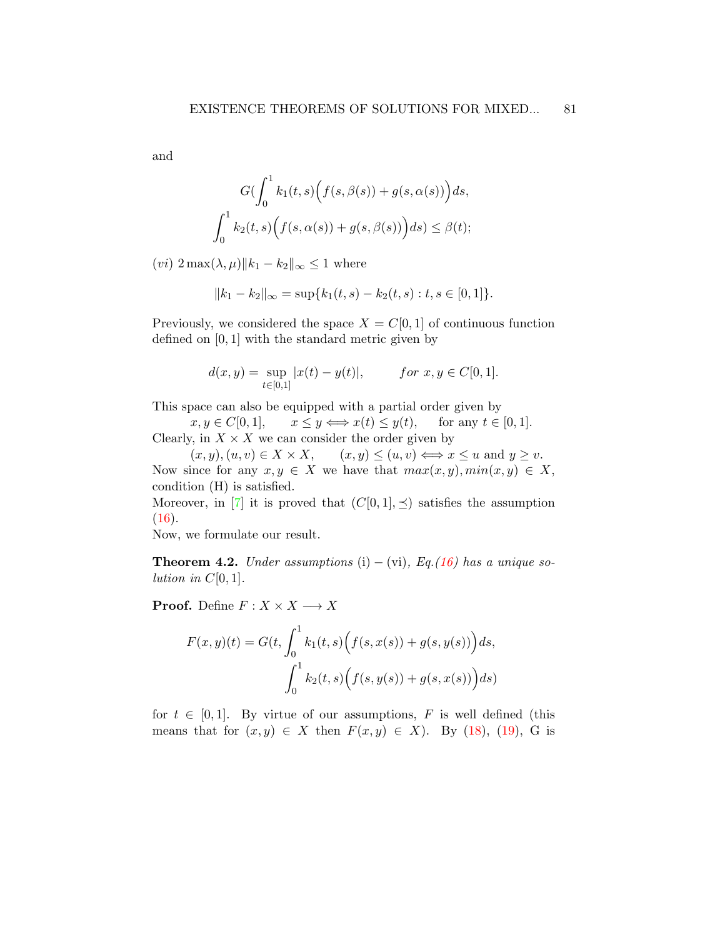and

$$
G\left(\int_0^1 k_1(t,s)\Big(f(s,\beta(s)) + g(s,\alpha(s))\Big)ds, \int_0^1 k_2(t,s)\Big(f(s,\alpha(s)) + g(s,\beta(s))\Big)ds\right) \leq \beta(t);
$$

(*vi*)  $2 \max(\lambda, \mu) \|k_1 - k_2\|_{\infty} \leq 1$  where

$$
||k_1 - k_2||_{\infty} = \sup\{k_1(t, s) - k_2(t, s) : t, s \in [0, 1]\}.
$$

Previously, we considered the space  $X = C[0, 1]$  of continuous function defined on [0, 1] with the standard metric given by

$$
d(x, y) = \sup_{t \in [0, 1]} |x(t) - y(t)|, \qquad \text{for } x, y \in C[0, 1].
$$

This space can also be equipped with a partial order given by

 $x, y \in C[0,1], \quad x \leq y \Longleftrightarrow x(t) \leq y(t), \quad \text{ for any } t \in [0,1].$ Clearly, in  $X \times X$  we can consider the order given by

 $(x, y), (u, v) \in X \times X,$   $(x, y) \leq (u, v) \Longleftrightarrow x \leq u$  and  $y \geq v$ . Now since for any  $x, y \in X$  we have that  $max(x, y), min(x, y) \in X$ , condition (H) is satisfied.

Moreover, in [\[7\]](#page-20-6) it is proved that  $(C[0, 1], \preceq)$  satisfies the assumption  $(16).$  $(16).$ 

Now, we formulate our result.

**Theorem 4.2.** Under assumptions (i) – (vi), Eq.[\(16\)](#page-15-0) has a unique solution in  $C[0, 1]$ .

**Proof.** Define  $F: X \times X \longrightarrow X$ 

$$
F(x, y)(t) = G(t, \int_0^1 k_1(t, s) (f(s, x(s)) + g(s, y(s))) ds,
$$

$$
\int_0^1 k_2(t, s) (f(s, y(s)) + g(s, x(s))) ds
$$

for  $t \in [0, 1]$ . By virtue of our assumptions, F is well defined (this means that for  $(x, y) \in X$  then  $F(x, y) \in X$ ). By [\(18\)](#page-15-1), [\(19\)](#page-15-2), G is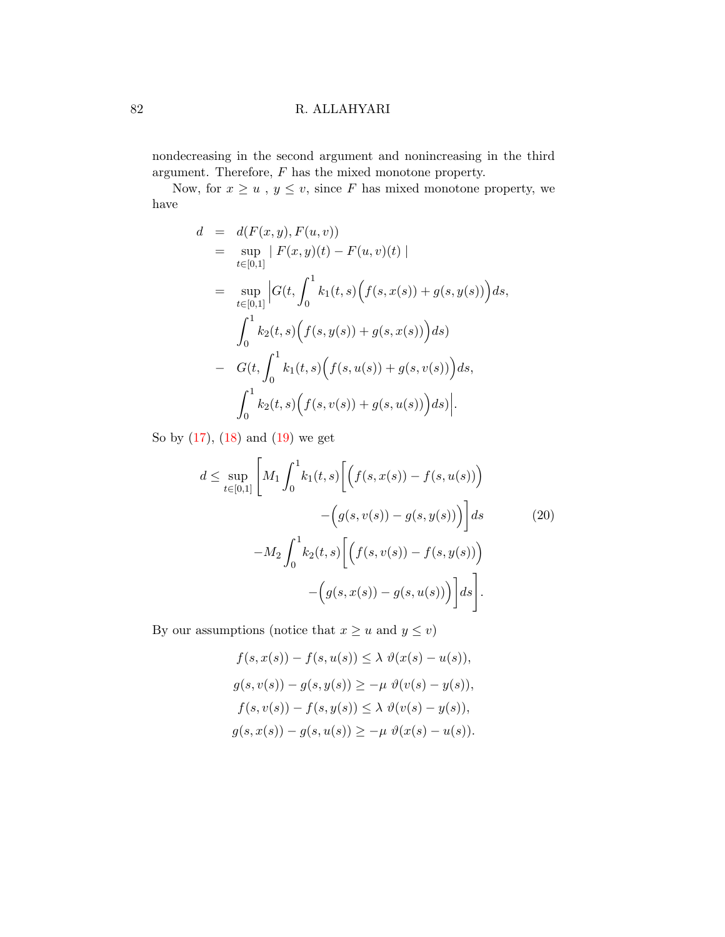nondecreasing in the second argument and nonincreasing in the third argument. Therefore,  $F$  has the mixed monotone property.

Now, for  $x \ge u$ ,  $y \le v$ , since F has mixed monotone property, we have

$$
d = d(F(x, y), F(u, v))
$$
  
\n
$$
= \sup_{t \in [0,1]} |F(x, y)(t) - F(u, v)(t)|
$$
  
\n
$$
= \sup_{t \in [0,1]} |G(t, \int_0^1 k_1(t, s) (f(s, x(s)) + g(s, y(s))) ds,
$$
  
\n
$$
\int_0^1 k_2(t, s) (f(s, y(s)) + g(s, x(s))) ds)
$$
  
\n
$$
- G(t, \int_0^1 k_1(t, s) (f(s, u(s)) + g(s, v(s))) ds,
$$
  
\n
$$
\int_0^1 k_2(t, s) (f(s, v(s)) + g(s, u(s))) ds)|.
$$

So by [\(17\)](#page-15-3), [\(18\)](#page-15-1) and [\(19\)](#page-15-2) we get

<span id="page-17-0"></span>
$$
d \le \sup_{t \in [0,1]} \left[ M_1 \int_0^1 k_1(t,s) \left[ \left( f(s, x(s)) - f(s, u(s)) \right) - \left( g(s, v(s)) - g(s, y(s)) \right) \right] ds \qquad (20)
$$

$$
-M_2 \int_0^1 k_2(t,s) \left[ \left( f(s, v(s)) - f(s, y(s)) \right) - \left( g(s, x(s)) - g(s, u(s)) \right) \right] ds \right].
$$

By our assumptions (notice that  $x\geq u$  and  $y\leq v)$ 

$$
f(s, x(s)) - f(s, u(s)) \leq \lambda \ \vartheta(x(s) - u(s)),
$$
  

$$
g(s, v(s)) - g(s, y(s)) \geq -\mu \ \vartheta(v(s) - y(s)),
$$
  

$$
f(s, v(s)) - f(s, y(s)) \leq \lambda \ \vartheta(v(s) - y(s)),
$$
  

$$
g(s, x(s)) - g(s, u(s)) \geq -\mu \ \vartheta(x(s) - u(s)).
$$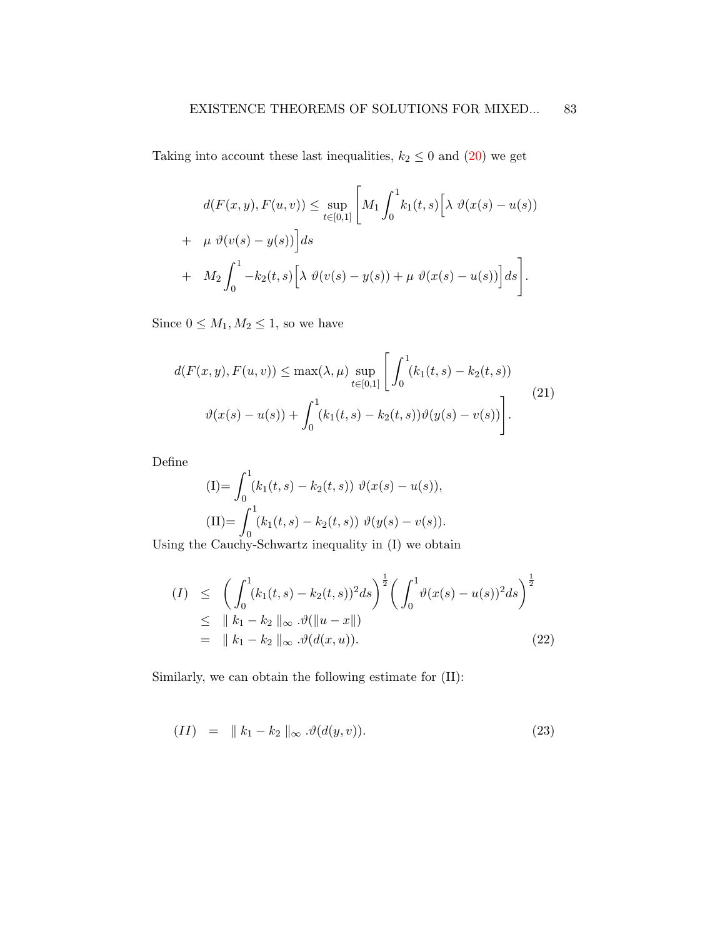Taking into account these last inequalities,  $k_2 \leq 0$  and  $(20)$  we get

$$
d(F(x, y), F(u, v)) \le \sup_{t \in [0,1]} \left[ M_1 \int_0^1 k_1(t, s) \left[ \lambda \vartheta(x(s) - u(s)) + \mu \vartheta(v(s) - y(s)) \right] ds \right.
$$
  
+ 
$$
M_2 \int_0^1 -k_2(t, s) \left[ \lambda \vartheta(v(s) - y(s)) + \mu \vartheta(x(s) - u(s)) \right] ds \right].
$$

Since  $0 \leq M_1, M_2 \leq 1$ , so we have

<span id="page-18-0"></span>
$$
d(F(x, y), F(u, v)) \le \max(\lambda, \mu) \sup_{t \in [0, 1]} \left[ \int_0^1 (k_1(t, s) - k_2(t, s)) \right]
$$
  

$$
\vartheta(x(s) - u(s)) + \int_0^1 (k_1(t, s) - k_2(t, s)) \vartheta(y(s) - v(s)) \right].
$$
 (21)

Define

(I)= 
$$
\int_0^1 (k_1(t, s) - k_2(t, s)) \vartheta(x(s) - u(s)),
$$
  
\n(II)=  $\int_0^1 (k_1(t, s) - k_2(t, s)) \vartheta(y(s) - v(s)).$ 

0 Using the Cauchy-Schwartz inequality in (I) we obtain

$$
(I) \leq \left( \int_0^1 (k_1(t,s) - k_2(t,s))^2 ds \right)^{\frac{1}{2}} \left( \int_0^1 \vartheta(x(s) - u(s))^2 ds \right)^{\frac{1}{2}}
$$
  
\n
$$
\leq \| k_1 - k_2 \|_{\infty} \cdot \vartheta(\|u - x\|)
$$
  
\n
$$
= \| k_1 - k_2 \|_{\infty} \cdot \vartheta(d(x,u)). \tag{22}
$$

Similarly, we can obtain the following estimate for (II):

<span id="page-18-1"></span>
$$
(II) = \| k_1 - k_2 \|_{\infty} \cdot \vartheta(d(y, v)). \tag{23}
$$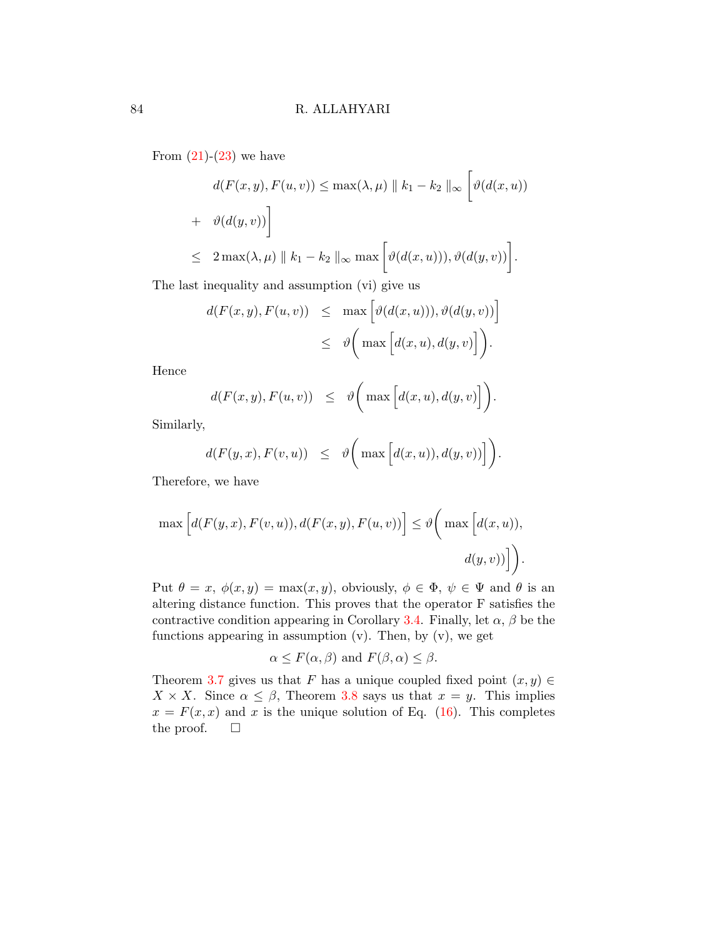From  $(21)-(23)$  $(21)-(23)$  $(21)-(23)$  we have

$$
d(F(x, y), F(u, v)) \le \max(\lambda, \mu) \|k_1 - k_2\|_{\infty} \left[ \vartheta(d(x, u)) + \vartheta(d(y, v)) \right]
$$
  

$$
\le 2 \max(\lambda, \mu) \|k_1 - k_2\|_{\infty} \max \left[ \vartheta(d(x, u)), \vartheta(d(y, v)) \right].
$$

The last inequality and assumption (vi) give us

$$
d(F(x, y), F(u, v)) \leq \max \left[ \vartheta(d(x, u))), \vartheta(d(y, v)) \right] \leq \vartheta \bigg( \max \left[ d(x, u), d(y, v) \right] \bigg).
$$

Hence

$$
d(F(x, y), F(u, v)) \leq \vartheta \bigg( \max \Big[ d(x, u), d(y, v) \Big] \bigg)
$$

.

Similarly,

$$
d(F(y,x), F(v,u)) \leq \vartheta \bigg( \max \Big[ d(x,u)), d(y,v)) \Big] \bigg).
$$

Therefore, we have

$$
\max [d(F(y, x), F(v, u)), d(F(x, y), F(u, v))] \leq \vartheta \bigg( \max [d(x, u)),
$$
  

$$
d(y, v)] \bigg).
$$

Put  $\theta = x$ ,  $\phi(x, y) = \max(x, y)$ , obviously,  $\phi \in \Phi$ ,  $\psi \in \Psi$  and  $\theta$  is an altering distance function. This proves that the operator F satisfies the contractive condition appearing in Corollary [3.4.](#page-12-0) Finally, let  $\alpha$ ,  $\beta$  be the functions appearing in assumption  $(v)$ . Then, by  $(v)$ , we get

$$
\alpha \leq F(\alpha, \beta)
$$
 and  $F(\beta, \alpha) \leq \beta$ .

Theorem [3.7](#page-14-0) gives us that F has a unique coupled fixed point  $(x, y) \in$  $X \times X$ . Since  $\alpha \leq \beta$ , Theorem [3.8](#page-14-1) says us that  $x = y$ . This implies  $x = F(x, x)$  and x is the unique solution of Eq. [\(16\)](#page-15-0). This completes the proof.  $\square$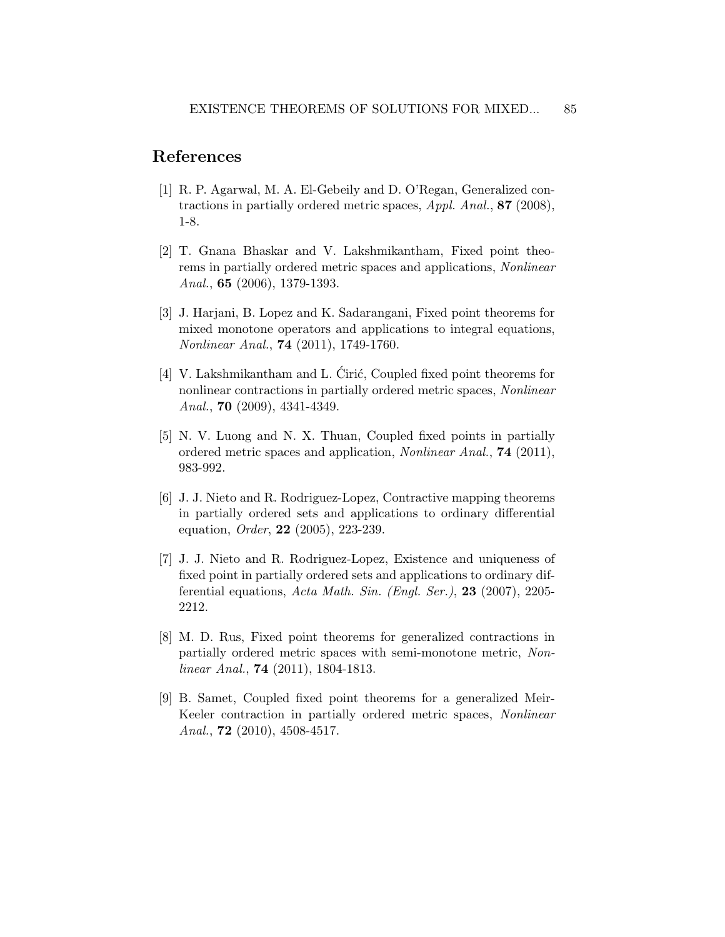### References

- <span id="page-20-3"></span>[1] R. P. Agarwal, M. A. El-Gebeily and D. O'Regan, Generalized contractions in partially ordered metric spaces, Appl. Anal., 87 (2008), 1-8.
- <span id="page-20-4"></span>[2] T. Gnana Bhaskar and V. Lakshmikantham, Fixed point theorems in partially ordered metric spaces and applications, Nonlinear Anal., 65 (2006), 1379-1393.
- <span id="page-20-0"></span>[3] J. Harjani, B. Lopez and K. Sadarangani, Fixed point theorems for mixed monotone operators and applications to integral equations, Nonlinear Anal., 74 (2011), 1749-1760.
- <span id="page-20-7"></span>[4] V. Lakshmikantham and L. Cirić, Coupled fixed point theorems for nonlinear contractions in partially ordered metric spaces, Nonlinear Anal., 70 (2009), 4341-4349.
- <span id="page-20-1"></span>[5] N. V. Luong and N. X. Thuan, Coupled fixed points in partially ordered metric spaces and application, Nonlinear Anal., 74 (2011), 983-992.
- <span id="page-20-5"></span>[6] J. J. Nieto and R. Rodriguez-Lopez, Contractive mapping theorems in partially ordered sets and applications to ordinary differential equation, *Order*, **22** (2005), 223-239.
- <span id="page-20-6"></span>[7] J. J. Nieto and R. Rodriguez-Lopez, Existence and uniqueness of fixed point in partially ordered sets and applications to ordinary differential equations, Acta Math. Sin. (Engl. Ser.), 23 (2007), 2205- 2212.
- <span id="page-20-8"></span>[8] M. D. Rus, Fixed point theorems for generalized contractions in partially ordered metric spaces with semi-monotone metric, Nonlinear Anal., 74 (2011), 1804-1813.
- <span id="page-20-2"></span>[9] B. Samet, Coupled fixed point theorems for a generalized Meir-Keeler contraction in partially ordered metric spaces, Nonlinear Anal., **72** (2010), 4508-4517.